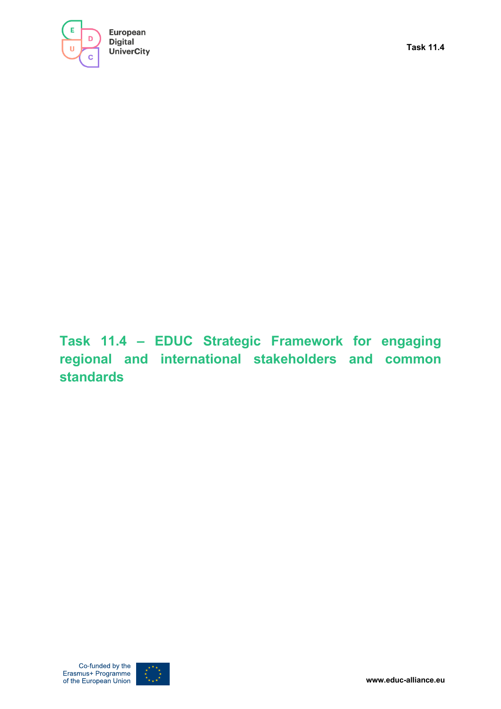

**Task 11.4 – EDUC Strategic Framework for engaging regional and international stakeholders and common standards**

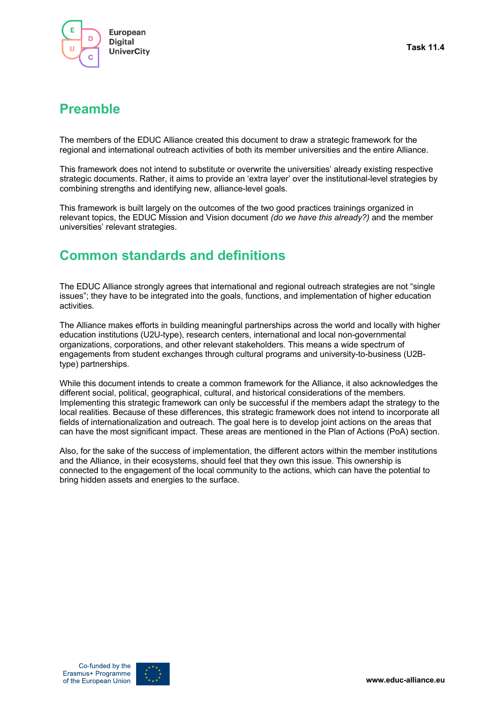

## **Preamble**

The members of the EDUC Alliance created this document to draw a strategic framework for the regional and international outreach activities of both its member universities and the entire Alliance.

This framework does not intend to substitute or overwrite the universities' already existing respective strategic documents. Rather, it aims to provide an 'extra layer' over the institutional-level strategies by combining strengths and identifying new, alliance-level goals.

This framework is built largely on the outcomes of the two good practices trainings organized in relevant topics, the EDUC Mission and Vision document *(do we have this already?)* and the member universities' relevant strategies.

# **Common standards and definitions**

The EDUC Alliance strongly agrees that international and regional outreach strategies are not "single issues"; they have to be integrated into the goals, functions, and implementation of higher education activities.

The Alliance makes efforts in building meaningful partnerships across the world and locally with higher education institutions (U2U-type), research centers, international and local non-governmental organizations, corporations, and other relevant stakeholders. This means a wide spectrum of engagements from student exchanges through cultural programs and university-to-business (U2Btype) partnerships.

While this document intends to create a common framework for the Alliance, it also acknowledges the different social, political, geographical, cultural, and historical considerations of the members. Implementing this strategic framework can only be successful if the members adapt the strategy to the local realities. Because of these differences, this strategic framework does not intend to incorporate all fields of internationalization and outreach. The goal here is to develop joint actions on the areas that can have the most significant impact. These areas are mentioned in the Plan of Actions (PoA) section.

Also, for the sake of the success of implementation, the different actors within the member institutions and the Alliance, in their ecosystems, should feel that they own this issue. This ownership is connected to the engagement of the local community to the actions, which can have the potential to bring hidden assets and energies to the surface.

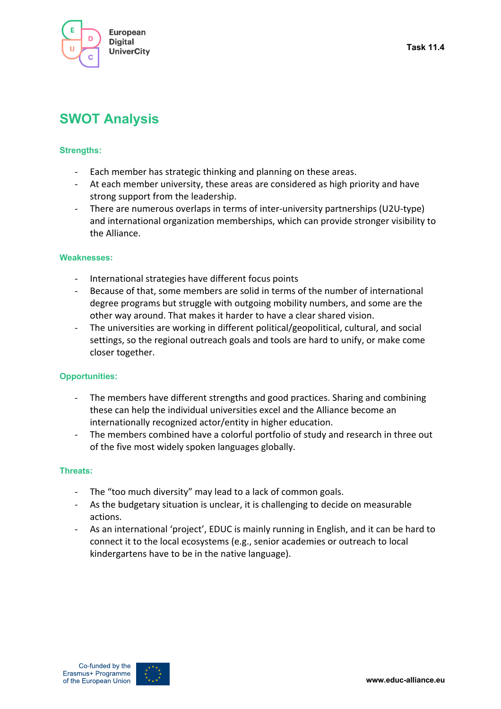

# **SWOT Analysis**

### **Strengths:**

- Each member has strategic thinking and planning on these areas.
- At each member university, these areas are considered as high priority and have strong support from the leadership.
- There are numerous overlaps in terms of inter-university partnerships (U2U-type) and international organization memberships, which can provide stronger visibility to the Alliance.

#### **Weaknesses:**

- International strategies have different focus points
- Because of that, some members are solid in terms of the number of international degree programs but struggle with outgoing mobility numbers, and some are the other way around. That makes it harder to have a clear shared vision.
- The universities are working in different political/geopolitical, cultural, and social settings, so the regional outreach goals and tools are hard to unify, or make come closer together.

### **Opportunities:**

- The members have different strengths and good practices. Sharing and combining these can help the individual universities excel and the Alliance become an internationally recognized actor/entity in higher education.
- The members combined have a colorful portfolio of study and research in three out of the five most widely spoken languages globally.

### **Threats:**

- The "too much diversity" may lead to a lack of common goals.
- As the budgetary situation is unclear, it is challenging to decide on measurable actions.
- As an international 'project', EDUC is mainly running in English, and it can be hard to connect it to the local ecosystems (e.g., senior academies or outreach to local kindergartens have to be in the native language).

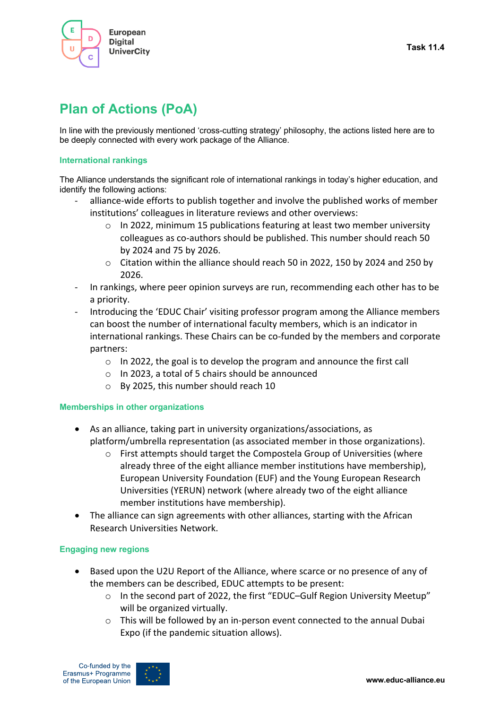

# **Plan of Actions (PoA)**

In line with the previously mentioned 'cross-cutting strategy' philosophy, the actions listed here are to be deeply connected with every work package of the Alliance.

#### **International rankings**

The Alliance understands the significant role of international rankings in today's higher education, and identify the following actions:

- alliance-wide efforts to publish together and involve the published works of member institutions' colleagues in literature reviews and other overviews:
	- o In 2022, minimum 15 publications featuring at least two member university colleagues as co-authors should be published. This number should reach 50 by 2024 and 75 by 2026.
	- $\circ$  Citation within the alliance should reach 50 in 2022, 150 by 2024 and 250 by 2026.
- In rankings, where peer opinion surveys are run, recommending each other has to be a priority.
- Introducing the 'EDUC Chair' visiting professor program among the Alliance members can boost the number of international faculty members, which is an indicator in international rankings. These Chairs can be co-funded by the members and corporate partners:
	- o In 2022, the goal is to develop the program and announce the first call
	- o In 2023, a total of 5 chairs should be announced
	- o By 2025, this number should reach 10

### **Memberships in other organizations**

- As an alliance, taking part in university organizations/associations, as platform/umbrella representation (as associated member in those organizations).
	- $\circ$  First attempts should target the Compostela Group of Universities (where already three of the eight alliance member institutions have membership), European University Foundation (EUF) and the Young European Research Universities (YERUN) network (where already two of the eight alliance member institutions have membership).
- The alliance can sign agreements with other alliances, starting with the African Research Universities Network.

### **Engaging new regions**

- Based upon the U2U Report of the Alliance, where scarce or no presence of any of the members can be described, EDUC attempts to be present:
	- o In the second part of 2022, the first "EDUC–Gulf Region University Meetup" will be organized virtually.
	- $\circ$  This will be followed by an in-person event connected to the annual Dubai Expo (if the pandemic situation allows).

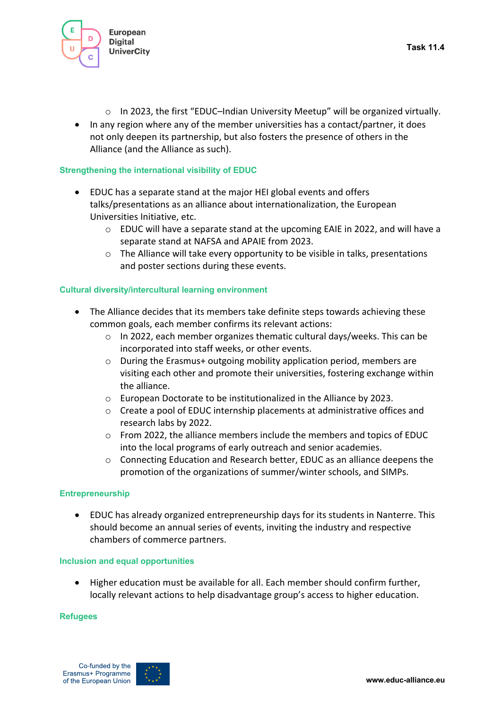

- $\circ$  In 2023, the first "EDUC-Indian University Meetup" will be organized virtually.
- In any region where any of the member universities has a contact/partner, it does not only deepen its partnership, but also fosters the presence of others in the Alliance (and the Alliance as such).

### **Strengthening the international visibility of EDUC**

- EDUC has a separate stand at the major HEI global events and offers talks/presentations as an alliance about internationalization, the European Universities Initiative, etc.
	- $\circ$  EDUC will have a separate stand at the upcoming EAIE in 2022, and will have a separate stand at NAFSA and APAIE from 2023.
	- $\circ$  The Alliance will take every opportunity to be visible in talks, presentations and poster sections during these events.

### **Cultural diversity/intercultural learning environment**

- The Alliance decides that its members take definite steps towards achieving these common goals, each member confirms its relevant actions:
	- $\circ$  In 2022, each member organizes thematic cultural days/weeks. This can be incorporated into staff weeks, or other events.
	- o During the Erasmus+ outgoing mobility application period, members are visiting each other and promote their universities, fostering exchange within the alliance.
	- o European Doctorate to be institutionalized in the Alliance by 2023.
	- $\circ$  Create a pool of EDUC internship placements at administrative offices and research labs by 2022.
	- o From 2022, the alliance members include the members and topics of EDUC into the local programs of early outreach and senior academies.
	- o Connecting Education and Research better, EDUC as an alliance deepens the promotion of the organizations of summer/winter schools, and SIMPs.

### **Entrepreneurship**

• EDUC has already organized entrepreneurship days for its students in Nanterre. This should become an annual series of events, inviting the industry and respective chambers of commerce partners.

### **Inclusion and equal opportunities**

• Higher education must be available for all. Each member should confirm further, locally relevant actions to help disadvantage group's access to higher education.

#### **Refugees**